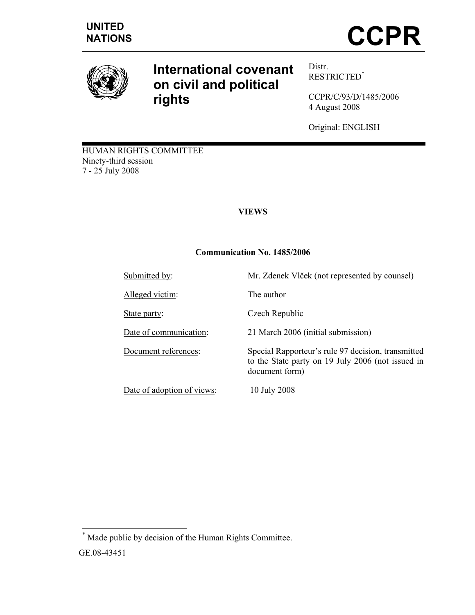

# **International covenant on civil and political rights**

Distr. RESTRICTED\*

CCPR/C/93/D/1485/2006 4 August 2008

Original: ENGLISH

HUMAN RIGHTS COMMITTEE Ninety-third session 7 - 25 July 2008

# **VIEWS**

# **Communication No. 1485/2006**

| Submitted by:              | Mr. Zdenek Vlček (not represented by counsel)                                                                             |
|----------------------------|---------------------------------------------------------------------------------------------------------------------------|
| Alleged victim:            | The author                                                                                                                |
| State party:               | Czech Republic                                                                                                            |
| Date of communication:     | 21 March 2006 (initial submission)                                                                                        |
| Document references:       | Special Rapporteur's rule 97 decision, transmitted<br>to the State party on 19 July 2006 (not issued in<br>document form) |
| Date of adoption of views: | 10 July 2008                                                                                                              |

 \* Made public by decision of the Human Rights Committee. GE.08-43451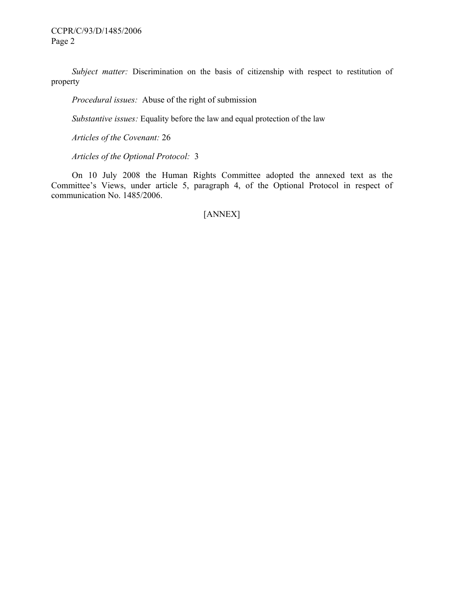*Subject matter:* Discrimination on the basis of citizenship with respect to restitution of property

 *Procedural issues:* Abuse of the right of submission

 *Substantive issues:* Equality before the law and equal protection of the law

 *Articles of the Covenant:* 26

 *Articles of the Optional Protocol:* 3

 On 10 July 2008 the Human Rights Committee adopted the annexed text as the Committee's Views, under article 5, paragraph 4, of the Optional Protocol in respect of communication No. 1485/2006.

[ANNEX]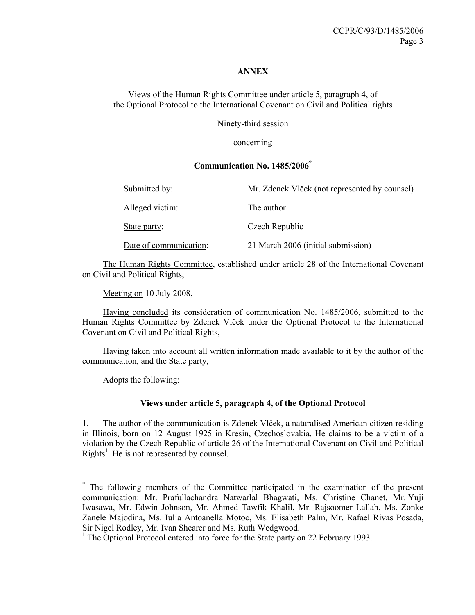#### **ANNEX**

Views of the Human Rights Committee under article 5, paragraph 4, of the Optional Protocol to the International Covenant on Civil and Political rights

Ninety-third session

concerning

#### **Communication No. 1485/2006\***

| Submitted by:          | Mr. Zdenek Vlček (not represented by counsel) |
|------------------------|-----------------------------------------------|
| Alleged victim:        | The author                                    |
| State party:           | Czech Republic                                |
| Date of communication: | 21 March 2006 (initial submission)            |

 The Human Rights Committee, established under article 28 of the International Covenant on Civil and Political Rights,

Meeting on 10 July 2008,

 Having concluded its consideration of communication No. 1485/2006, submitted to the Human Rights Committee by Zdenek Vlček under the Optional Protocol to the International Covenant on Civil and Political Rights,

 Having taken into account all written information made available to it by the author of the communication, and the State party,

Adopts the following:

 $\overline{a}$ 

#### **Views under article 5, paragraph 4, of the Optional Protocol**

1. The author of the communication is Zdenek Vlček, a naturalised American citizen residing in Illinois, born on 12 August 1925 in Kresin, Czechoslovakia. He claims to be a victim of a violation by the Czech Republic of article 26 of the International Covenant on Civil and Political Rights<sup>1</sup>. He is not represented by counsel.

<sup>\*</sup> The following members of the Committee participated in the examination of the present communication: Mr. Prafullachandra Natwarlal Bhagwati, Ms. Christine Chanet, Mr. Yuji Iwasawa, Mr. Edwin Johnson, Mr. Ahmed Tawfik Khalil, Mr. Rajsoomer Lallah, Ms. Zonke Zanele Majodina, Ms. Iulia Antoanella Motoc, Ms. Elisabeth Palm, Mr. Rafael Rivas Posada, Sir Nigel Rodley, Mr. Ivan Shearer and Ms. Ruth Wedgwood.

<sup>&</sup>lt;sup>1</sup> The Optional Protocol entered into force for the State party on 22 February 1993.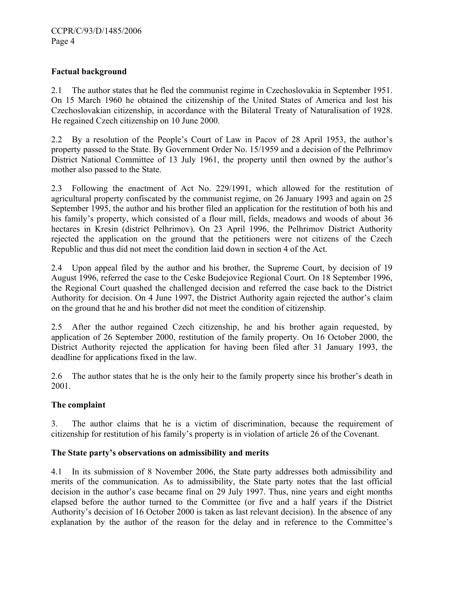## **Factual background**

2.1 The author states that he fled the communist regime in Czechoslovakia in September 1951. On 15 March 1960 he obtained the citizenship of the United States of America and lost his Czechoslovakian citizenship, in accordance with the Bilateral Treaty of Naturalisation of 1928. He regained Czech citizenship on 10 June 2000.

2.2 By a resolution of the People's Court of Law in Pacov of 28 April 1953, the author's property passed to the State. By Government Order No. 15/1959 and a decision of the Pelhrimov District National Committee of 13 July 1961, the property until then owned by the author's mother also passed to the State.

2.3 Following the enactment of Act No. 229/1991, which allowed for the restitution of agricultural property confiscated by the communist regime, on 26 January 1993 and again on 25 September 1995, the author and his brother filed an application for the restitution of both his and his family's property, which consisted of a flour mill, fields, meadows and woods of about 36 hectares in Kresin (district Pelhrimov). On 23 April 1996, the Pelhrimov District Authority rejected the application on the ground that the petitioners were not citizens of the Czech Republic and thus did not meet the condition laid down in section 4 of the Act.

2.4 Upon appeal filed by the author and his brother, the Supreme Court, by decision of 19 August 1996, referred the case to the Ceske Budejovice Regional Court. On 18 September 1996, the Regional Court quashed the challenged decision and referred the case back to the District Authority for decision. On 4 June 1997, the District Authority again rejected the author's claim on the ground that he and his brother did not meet the condition of citizenship.

2.5 After the author regained Czech citizenship, he and his brother again requested, by application of 26 September 2000, restitution of the family property. On 16 October 2000, the District Authority rejected the application for having been filed after 31 January 1993, the deadline for applications fixed in the law.

2.6 The author states that he is the only heir to the family property since his brother's death in 2001.

#### **The complaint**

3. The author claims that he is a victim of discrimination, because the requirement of citizenship for restitution of his family's property is in violation of article 26 of the Covenant.

#### **The State party's observations on admissibility and merits**

4.1 In its submission of 8 November 2006, the State party addresses both admissibility and merits of the communication. As to admissibility, the State party notes that the last official decision in the author's case became final on 29 July 1997. Thus, nine years and eight months elapsed before the author turned to the Committee (or five and a half years if the District Authority's decision of 16 October 2000 is taken as last relevant decision). In the absence of any explanation by the author of the reason for the delay and in reference to the Committee's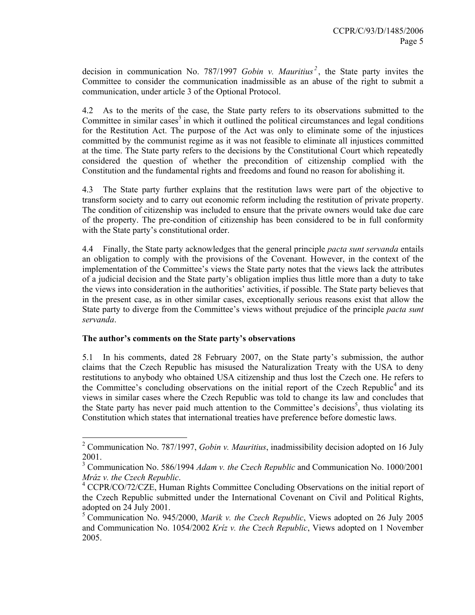decision in communication No. 787/1997 *Gobin v. Mauritius*<sup>2</sup>, the State party invites the Committee to consider the communication inadmissible as an abuse of the right to submit a communication, under article 3 of the Optional Protocol.

4.2 As to the merits of the case, the State party refers to its observations submitted to the Committee in similar cases<sup>3</sup> in which it outlined the political circumstances and legal conditions for the Restitution Act. The purpose of the Act was only to eliminate some of the injustices committed by the communist regime as it was not feasible to eliminate all injustices committed at the time. The State party refers to the decisions by the Constitutional Court which repeatedly considered the question of whether the precondition of citizenship complied with the Constitution and the fundamental rights and freedoms and found no reason for abolishing it.

4.3 The State party further explains that the restitution laws were part of the objective to transform society and to carry out economic reform including the restitution of private property. The condition of citizenship was included to ensure that the private owners would take due care of the property. The pre-condition of citizenship has been considered to be in full conformity with the State party's constitutional order.

4.4 Finally, the State party acknowledges that the general principle *pacta sunt servanda* entails an obligation to comply with the provisions of the Covenant. However, in the context of the implementation of the Committee's views the State party notes that the views lack the attributes of a judicial decision and the State party's obligation implies thus little more than a duty to take the views into consideration in the authorities' activities, if possible. The State party believes that in the present case, as in other similar cases, exceptionally serious reasons exist that allow the State party to diverge from the Committee's views without prejudice of the principle *pacta sunt servanda*.

#### **The author's comments on the State party's observations**

 $\overline{a}$ 

5.1 In his comments, dated 28 February 2007, on the State party's submission, the author claims that the Czech Republic has misused the Naturalization Treaty with the USA to deny restitutions to anybody who obtained USA citizenship and thus lost the Czech one. He refers to the Committee's concluding observations on the initial report of the Czech Republic<sup>4</sup> and its views in similar cases where the Czech Republic was told to change its law and concludes that the State party has never paid much attention to the Committee's decisions<sup>5</sup>, thus violating its Constitution which states that international treaties have preference before domestic laws.

<sup>2</sup> Communication No. 787/1997, *Gobin v. Mauritius*, inadmissibility decision adopted on 16 July 2001.

<sup>3</sup> Communication No. 586/1994 *Adam v. the Czech Republic* and Communication No. 1000/2001 *Mráz v. the Czech Republic*. 4

<sup>&</sup>lt;sup>4</sup> CCPR/CO/72/CZE, Human Rights Committee Concluding Observations on the initial report of the Czech Republic submitted under the International Covenant on Civil and Political Rights, adopted on 24 July 2001.

<sup>5</sup> Communication No. 945/2000, *Marik v. the Czech Republic*, Views adopted on 26 July 2005 and Communication No. 1054/2002 *Kríz v. the Czech Republic*, Views adopted on 1 November 2005.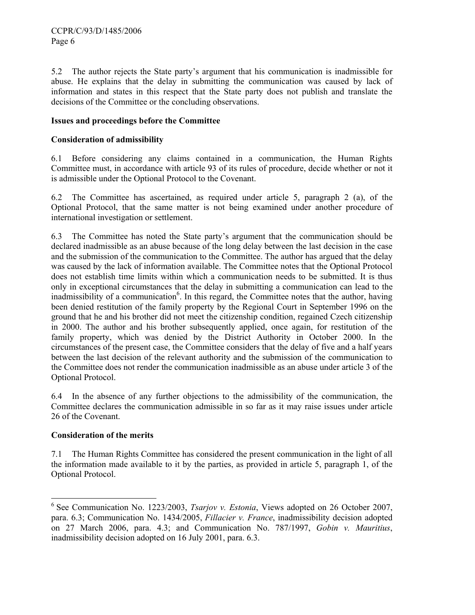5.2 The author rejects the State party's argument that his communication is inadmissible for abuse. He explains that the delay in submitting the communication was caused by lack of information and states in this respect that the State party does not publish and translate the decisions of the Committee or the concluding observations.

# **Issues and proceedings before the Committee**

## **Consideration of admissibility**

6.1 Before considering any claims contained in a communication, the Human Rights Committee must, in accordance with article 93 of its rules of procedure, decide whether or not it is admissible under the Optional Protocol to the Covenant.

6.2 The Committee has ascertained, as required under article 5, paragraph 2 (a), of the Optional Protocol, that the same matter is not being examined under another procedure of international investigation or settlement.

6.3 The Committee has noted the State party's argument that the communication should be declared inadmissible as an abuse because of the long delay between the last decision in the case and the submission of the communication to the Committee. The author has argued that the delay was caused by the lack of information available. The Committee notes that the Optional Protocol does not establish time limits within which a communication needs to be submitted. It is thus only in exceptional circumstances that the delay in submitting a communication can lead to the inadmissibility of a communication<sup>6</sup>. In this regard, the Committee notes that the author, having been denied restitution of the family property by the Regional Court in September 1996 on the ground that he and his brother did not meet the citizenship condition, regained Czech citizenship in 2000. The author and his brother subsequently applied, once again, for restitution of the family property, which was denied by the District Authority in October 2000. In the circumstances of the present case, the Committee considers that the delay of five and a half years between the last decision of the relevant authority and the submission of the communication to the Committee does not render the communication inadmissible as an abuse under article 3 of the Optional Protocol.

6.4 In the absence of any further objections to the admissibility of the communication, the Committee declares the communication admissible in so far as it may raise issues under article 26 of the Covenant.

# **Consideration of the merits**

-

7.1 The Human Rights Committee has considered the present communication in the light of all the information made available to it by the parties, as provided in article 5, paragraph 1, of the Optional Protocol.

<sup>6</sup> See Communication No. 1223/2003, *Tsarjov v. Estonia*, Views adopted on 26 October 2007, para. 6.3; Communication No. 1434/2005, *Fillacier v. France*, inadmissibility decision adopted on 27 March 2006, para. 4.3; and Communication No. 787/1997, *Gobin v. Mauritius*, inadmissibility decision adopted on 16 July 2001, para. 6.3.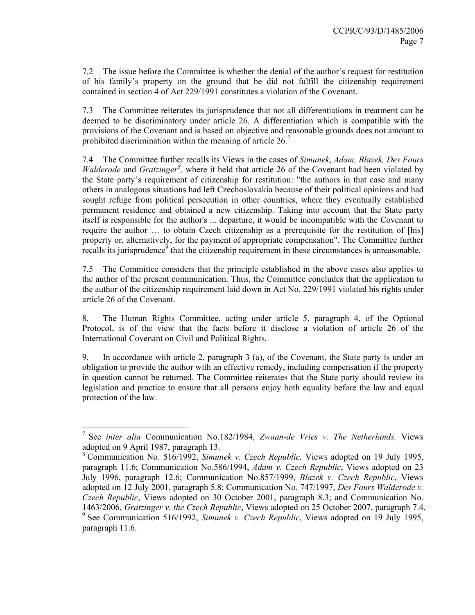7.2 The issue before the Committee is whether the denial of the author's request for restitution of his family's property on the ground that he did not fulfill the citizenship requirement contained in section 4 of Act 229/1991 constitutes a violation of the Covenant.

7.3 The Committee reiterates its jurisprudence that not all differentiations in treatment can be deemed to be discriminatory under article 26. A differentiation which is compatible with the provisions of the Covenant and is based on objective and reasonable grounds does not amount to prohibited discrimination within the meaning of article  $26$ .<sup>7</sup>

7.4 The Committee further recalls its Views in the cases of *Simunek*, *Adam, Blazek, Des Fours Walderode* and *Gratzinger<sup>8</sup>*, where it held that article 26 of the Covenant had been violated by the State party's requirement of citizenship for restitution: "the authors in that case and many others in analogous situations had left Czechoslovakia because of their political opinions and had sought refuge from political persecution in other countries, where they eventually established permanent residence and obtained a new citizenship. Taking into account that the State party itself is responsible for the author's ... departure, it would be incompatible with the Covenant to require the author … to obtain Czech citizenship as a prerequisite for the restitution of [his] property or, alternatively, for the payment of appropriate compensation". The Committee further  $r_{\text{recalls}}$  its jurisprudence<sup> $\delta$ </sup> that the citizenship requirement in these circumstances is unreasonable.

7.5 The Committee considers that the principle established in the above cases also applies to the author of the present communication. Thus, the Committee concludes that the application to the author of the citizenship requirement laid down in Act No. 229/1991 violated his rights under article 26 of the Covenant.

8. The Human Rights Committee, acting under article 5, paragraph 4, of the Optional Protocol, is of the view that the facts before it disclose a violation of article 26 of the International Covenant on Civil and Political Rights.

9. In accordance with article 2, paragraph 3 (a), of the Covenant, the State party is under an obligation to provide the author with an effective remedy, including compensation if the property in question cannot be returned. The Committee reiterates that the State party should review its legislation and practice to ensure that all persons enjoy both equality before the law and equal protection of the law.

 $\overline{a}$ 

<sup>7</sup> See *inter alia* Communication No.182/1984, *Zwaan-de Vries v. The Netherlands,* Views adopted on 9 April 1987, paragraph 13.

<sup>8</sup> Communication No. 516/1992, *Simunek v. Czech Republic,* Views adopted on 19 July 1995, paragraph 11.6; Communication No.586/1994, *Adam v. Czech Republic*, Views adopted on 23 July 1996, paragraph 12.6; Communication No.857/1999, *Blazek v. Czech Republic*, Views adopted on 12 July 2001, paragraph 5.8; Communication No. 747/1997, *Des Fours Walderode v. Czech Republic*, Views adopted on 30 October 2001, paragraph 8.3; and Communication No. 1463/2006, *Gratzinger v. the Czech Republic*, Views adopted on 25 October 2007, paragraph 7.4. <sup>9</sup> See Communication 516/1992, *Simunek v. Czech Republic*, Views adopted on 19 July 1995, paragraph 11.6.